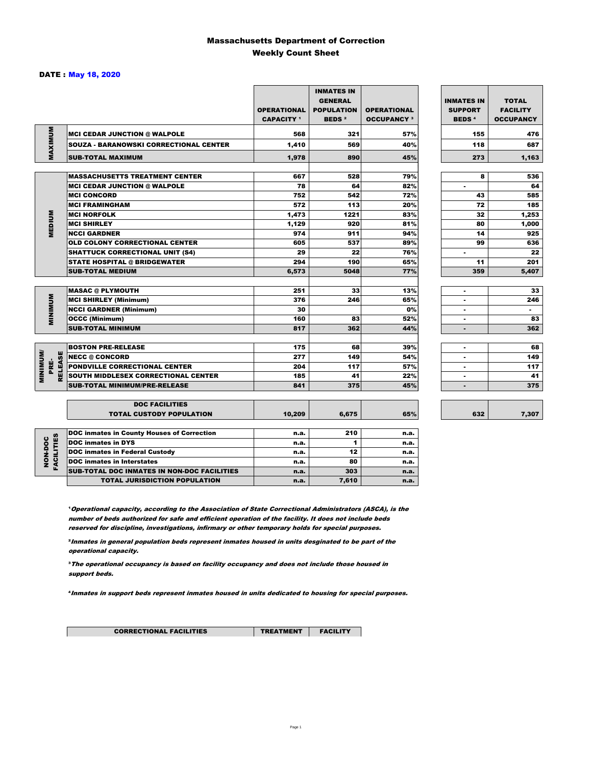### Massachusetts Department of Correction Weekly Count Sheet

### DATE : May 18, 2020

|                                   |                                                          | <b>OPERATIONAL</b><br><b>CAPACITY</b> 1 | <b>INMATES IN</b><br><b>GENERAL</b><br><b>POPULATION</b><br><b>BEDS<sup>2</sup></b> | <b>OPERATIONAL</b><br><b>OCCUPANCY 3</b> | <b>INMATES IN</b><br><b>SUPPORT</b><br><b>BEDS<sup>4</sup></b> | <b>TOTAL</b><br><b>FACILITY</b><br><b>OCCUPANCY</b> |
|-----------------------------------|----------------------------------------------------------|-----------------------------------------|-------------------------------------------------------------------------------------|------------------------------------------|----------------------------------------------------------------|-----------------------------------------------------|
|                                   | <b>MCI CEDAR JUNCTION @ WALPOLE</b>                      | 568                                     | 321                                                                                 | 57%                                      | 155                                                            | 476                                                 |
|                                   | <b>SOUZA - BARANOWSKI CORRECTIONAL CENTER</b>            | 1,410                                   | 569                                                                                 | 40%                                      | 118                                                            | 687                                                 |
| MAXIMUM                           | <b>SUB-TOTAL MAXIMUM</b>                                 | 1,978                                   | 890                                                                                 | 45%                                      | 273                                                            | 1,163                                               |
|                                   |                                                          |                                         |                                                                                     |                                          |                                                                |                                                     |
|                                   | <b>MASSACHUSETTS TREATMENT CENTER</b>                    | 667                                     | 528                                                                                 | 79%                                      | 8                                                              | 536                                                 |
|                                   | <b>MCI CEDAR JUNCTION @ WALPOLE</b>                      | 78                                      | 64                                                                                  | 82%                                      | ٠                                                              | 64                                                  |
|                                   | <b>MCI CONCORD</b>                                       | 752                                     | 542                                                                                 | 72%                                      | 43                                                             | 585                                                 |
|                                   | <b>MCI FRAMINGHAM</b>                                    | 572                                     | 113                                                                                 | 20%                                      | 72                                                             | 185                                                 |
|                                   | <b>MCI NORFOLK</b>                                       | 1,473                                   | 1221                                                                                | 83%                                      | 32                                                             | 1,253                                               |
| <b>MEDIUM</b>                     | <b>MCI SHIRLEY</b>                                       | 1,129                                   | 920                                                                                 | 81%                                      | 80                                                             | 1,000                                               |
|                                   | <b>NCCI GARDNER</b>                                      | 974                                     | 911                                                                                 | 94%                                      | 14                                                             | 925                                                 |
|                                   | <b>OLD COLONY CORRECTIONAL CENTER</b>                    | 605                                     | 537                                                                                 | 89%                                      | 99                                                             | 636                                                 |
|                                   | <b>SHATTUCK CORRECTIONAL UNIT (S4)</b>                   | 29                                      | 22                                                                                  | 76%                                      | $\overline{\phantom{a}}$                                       | 22                                                  |
|                                   | <b>STATE HOSPITAL @ BRIDGEWATER</b>                      | 294                                     | 190                                                                                 | 65%                                      | 11                                                             | 201                                                 |
|                                   | <b>SUB-TOTAL MEDIUM</b>                                  | 6,573                                   | 5048                                                                                | 77%                                      | 359                                                            | 5,407                                               |
|                                   |                                                          |                                         |                                                                                     |                                          |                                                                |                                                     |
|                                   | <b>MASAC @ PLYMOUTH</b>                                  | 251                                     | 33                                                                                  | 13%                                      |                                                                | 33                                                  |
| <b>MINIMUM</b>                    | <b>MCI SHIRLEY (Minimum)</b>                             | 376                                     | 246                                                                                 | 65%                                      |                                                                | 246                                                 |
|                                   | <b>NCCI GARDNER (Minimum)</b>                            | 30                                      |                                                                                     | 0%                                       | ٠                                                              | $\sim$                                              |
|                                   | <b>OCCC (Minimum)</b>                                    | 160                                     | 83                                                                                  | 52%                                      | ٠                                                              | 83                                                  |
|                                   | <b>SUB-TOTAL MINIMUM</b>                                 | 817                                     | 362                                                                                 | 44%                                      | $\blacksquare$                                                 | 362                                                 |
|                                   |                                                          |                                         |                                                                                     |                                          |                                                                |                                                     |
|                                   | <b>BOSTON PRE-RELEASE</b>                                | 175                                     | 68                                                                                  | 39%                                      | $\blacksquare$                                                 | 68                                                  |
| <b>MINIMINI</b><br><b>RELEASE</b> | <b>NECC @ CONCORD</b>                                    | 277                                     | 149                                                                                 | 54%                                      |                                                                | 149                                                 |
| PRE-                              | PONDVILLE CORRECTIONAL CENTER                            | 204                                     | 117                                                                                 | 57%                                      | ٠                                                              | 117                                                 |
|                                   | SOUTH MIDDLESEX CORRECTIONAL CENTER                      | 185                                     | 41                                                                                  | 22%                                      | ٠                                                              | 41                                                  |
|                                   | <b>SUB-TOTAL MINIMUM/PRE-RELEASE</b>                     | 841                                     | 375                                                                                 | 45%                                      | $\blacksquare$                                                 | 375                                                 |
|                                   |                                                          |                                         |                                                                                     |                                          |                                                                |                                                     |
|                                   | <b>DOC FACILITIES</b><br><b>TOTAL CUSTODY POPULATION</b> | 10,209                                  | 6,675                                                                               | 65%                                      | 632                                                            | 7,307                                               |
|                                   |                                                          |                                         |                                                                                     |                                          |                                                                |                                                     |
|                                   | <b>DOC inmates in County Houses of Correction</b>        | n.a.                                    | 210                                                                                 | n.a.                                     |                                                                |                                                     |
| <b>FACILITIES</b>                 | <b>DOC inmates in DYS</b>                                | n.a.                                    | 1                                                                                   | n.a.                                     |                                                                |                                                     |
| NON-DOC                           | <b>DOC inmates in Federal Custody</b>                    | n.a.                                    | 12                                                                                  | n.a.                                     |                                                                |                                                     |
|                                   | <b>DOC</b> inmates in Interstates                        | n.a.                                    | 80                                                                                  | n.a.                                     |                                                                |                                                     |
|                                   | CUR TOTAL BOO INIAATEC IN NON BOO FAOILITIES             |                                         | 20 <sup>2</sup>                                                                     |                                          |                                                                |                                                     |

**Operational capacity, according to the Association of State Correctional Administrators (ASCA), is the** number of beds authorized for safe and efficient operation of the facility. It does not include beds reserved for discipline, investigations, infirmary or other temporary holds for special purposes.

SUB-TOTAL DOC INMATES IN NON-DOC FACILITIES n.a. 303 n.a. 303

TOTAL JURISDICTION POPULATION **n.a.** 7,610 n.a.

²Inmates in general population beds represent inmates housed in units desginated to be part of the operational capacity.

³The operational occupancy is based on facility occupancy and does not include those housed in support beds.

⁴Inmates in support beds represent inmates housed in units dedicated to housing for special purposes.

| <b>CORRECTIONAL FACILITIES</b> |
|--------------------------------|
|--------------------------------|

TREATMENT **FACILITY**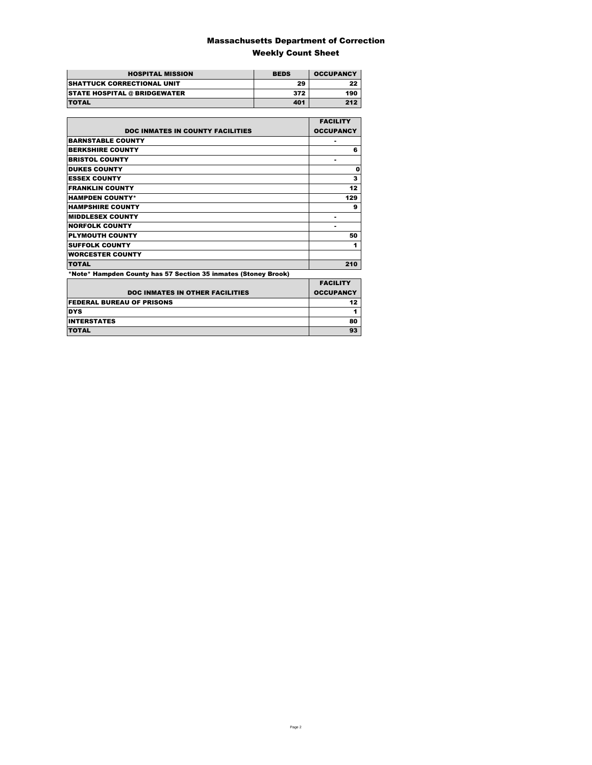### Massachusetts Department of Correction Weekly Count Sheet

| <b>HOSPITAL MISSION</b>             | <b>BEDS</b> | <b>OCCUPANCY</b> |
|-------------------------------------|-------------|------------------|
| <b>SHATTUCK CORRECTIONAL UNIT</b>   | 29          | 22               |
| <b>STATE HOSPITAL @ BRIDGEWATER</b> | 372         | 190              |
| <b>TOTAL</b>                        | 401         | 212              |

|                                                                | <b>FACILITY</b>  |
|----------------------------------------------------------------|------------------|
| <b>DOC INMATES IN COUNTY FACILITIES</b>                        | <b>OCCUPANCY</b> |
| <b>BARNSTABLE COUNTY</b>                                       |                  |
| <b>BERKSHIRE COUNTY</b>                                        | 6                |
| <b>BRISTOL COUNTY</b>                                          | ۰                |
| <b>DUKES COUNTY</b>                                            | 0                |
| <b>ESSEX COUNTY</b>                                            | 3                |
| <b>FRANKLIN COUNTY</b>                                         | 12               |
| <b>HAMPDEN COUNTY*</b>                                         | 129              |
| <b>HAMPSHIRE COUNTY</b>                                        | 9                |
| <b>MIDDLESEX COUNTY</b>                                        | ۰                |
| <b>NORFOLK COUNTY</b>                                          | ۰                |
| <b>PLYMOUTH COUNTY</b>                                         | 50               |
| <b>SUFFOLK COUNTY</b>                                          | 1                |
| <b>WORCESTER COUNTY</b>                                        |                  |
| <b>TOTAL</b>                                                   | 210              |
| *Note* Hampden County has 57 Section 35 inmates (Stoney Brook) |                  |
|                                                                | <b>EACILITY</b>  |

| <b>DOC INMATES IN OTHER FACILITIES</b> | <b>FACILITY</b><br><b>OCCUPANCY</b> |
|----------------------------------------|-------------------------------------|
| <b>FEDERAL BUREAU OF PRISONS</b>       |                                     |
| <b>DYS</b>                             |                                     |
| <b>INTERSTATES</b>                     | 80                                  |
| <b>TOTAL</b>                           |                                     |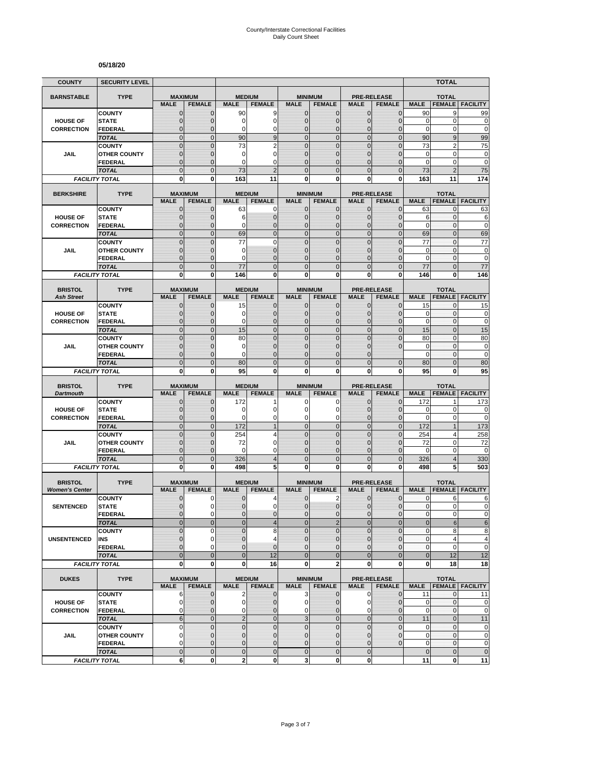#### **05/18/20**

| <b>COUNTY</b>                        | <b>SECURITY LEVEL</b>                 |                                  |                             |                     |                            |                                |                               |                              |                                  |                           | <b>TOTAL</b>                  |                            |
|--------------------------------------|---------------------------------------|----------------------------------|-----------------------------|---------------------|----------------------------|--------------------------------|-------------------------------|------------------------------|----------------------------------|---------------------------|-------------------------------|----------------------------|
| <b>BARNSTABLE</b>                    | <b>TYPE</b>                           | <b>MAXIMUM</b>                   |                             |                     | <b>MEDIUM</b>              |                                | <b>MINIMUM</b>                |                              | <b>PRE-RELEASE</b>               |                           | <b>TOTAL</b>                  |                            |
|                                      |                                       | <b>MALE</b>                      | <b>FEMALE</b>               | <b>MALE</b>         | <b>FEMALE</b>              | <b>MALE</b>                    | <b>FEMALE</b>                 | <b>MALE</b>                  | <b>FEMALE</b>                    | <b>MALE</b>               | <b>FEMALE</b>                 | <b>FACILITY</b>            |
|                                      | <b>COUNTY</b>                         | $\mathbf 0$                      | $\mathbf{0}$                | 90                  | 9<br>$\mathbf 0$           | $\mathbf{0}$                   | 0                             | $\mathbf{0}$                 | $\overline{0}$                   | 90                        | 9<br>0                        | 99                         |
| <b>HOUSE OF</b><br><b>CORRECTION</b> | <b>STATE</b><br><b>FEDERAL</b>        | $\overline{0}$<br>0              | $\mathbf 0$<br>0            | 0<br>0              | 0                          | $\overline{0}$<br>0            | $\overline{0}$<br>$\mathbf 0$ | $\mathbf 0$<br>$\mathbf 0$   | $\overline{0}$<br>0              | $\mathbf 0$<br>$\pmb{0}$  | 0                             | 0<br>$\mathbf 0$           |
|                                      | <b>TOTAL</b>                          | $\overline{0}$                   | $\overline{0}$              | 90                  | 9                          | $\mathbf 0$                    | $\mathbf 0$                   | $\mathbf{0}$                 | $\mathbf 0$                      | 90                        | 9                             | 99                         |
|                                      | <b>COUNTY</b>                         | $\overline{0}$                   | $\overline{0}$              | 73                  | $\overline{2}$             | $\Omega$                       | $\mathbf 0$                   | $\mathbf{0}$                 | $\overline{0}$                   | 73                        | 2                             | 75                         |
| JAIL                                 | <b>OTHER COUNTY</b>                   | $\mathbf{0}$                     | $\mathbf 0$                 | $\mathbf 0$         | $\mathbf 0$                | $\overline{0}$                 | $\overline{0}$                | $\Omega$                     | $\overline{0}$                   | $\mathbf 0$               | 0                             | $\bf{0}$                   |
|                                      | <b>FEDERAL</b>                        | $\mathbf 0$                      | $\Omega$                    | $\Omega$            | $\mathbf 0$                | $\Omega$                       | $\overline{0}$                | $\Omega$                     | $\overline{0}$                   | $\mathbf 0$               | 0                             | $\mathbf 0$                |
|                                      | <b>TOTAL</b><br><b>FACILITY TOTAL</b> | $\overline{0}$<br>$\bf{0}$       | $\Omega$<br>$\bf{0}$        | 73<br>163           | $\overline{2}$<br>11       | $\Omega$<br>0                  | $\overline{0}$<br>0           | $\Omega$<br>$\bf{0}$         | $\overline{0}$<br>0              | 73<br>163                 | $\overline{2}$<br>11          | 75<br>174                  |
|                                      |                                       |                                  |                             |                     |                            |                                |                               |                              |                                  |                           |                               |                            |
| <b>BERKSHIRE</b>                     | <b>TYPE</b>                           |                                  | <b>MAXIMUM</b>              |                     | <b>MEDIUM</b>              |                                | <b>MINIMUM</b>                |                              | <b>PRE-RELEASE</b>               |                           | <b>TOTAL</b>                  |                            |
|                                      |                                       | <b>MALE</b>                      | <b>FEMALE</b>               | <b>MALE</b>         | <b>FEMALE</b>              | <b>MALE</b>                    | <b>FEMALE</b>                 | <b>MALE</b>                  | <b>FEMALE</b>                    | <b>MALE</b>               | <b>FEMALE</b>                 | <b>FACILITY</b>            |
| <b>HOUSE OF</b>                      | <b>COUNTY</b><br><b>STATE</b>         | 0<br>$\mathbf{0}$                | $\mathbf 0$<br>$\mathbf 0$  | 63<br>6             | 0<br>$\mathbf 0$           | 0<br>$\mathbf{0}$              | $\mathbf{0}$<br>$\mathbf 0$   | $\mathbf{0}$<br>$\mathbf{0}$ | $\mathbf 0$<br>$\overline{0}$    | 63<br>6                   | 0<br>0                        | 63<br>6                    |
| <b>CORRECTION</b>                    | <b>FEDERAL</b>                        | $\overline{0}$                   | $\mathbf 0$                 | 0                   | $\mathbf 0$                | 0                              | $\overline{0}$                | $\mathbf 0$                  | $\overline{0}$                   | $\mathbf 0$               | $\mathbf 0$                   | $\mathbf 0$                |
|                                      | <b>TOTAL</b>                          | $\overline{0}$                   | $\overline{0}$              | 69                  | $\mathbf 0$                | $\mathbf 0$                    | $\overline{0}$                | $\mathbf{0}$                 | $\overline{0}$                   | 69                        | $\overline{0}$                | 69                         |
|                                      | <b>COUNTY</b>                         | $\overline{0}$                   | $\overline{0}$              | 77                  | $\mathbf 0$                | $\mathbf 0$                    | $\overline{0}$                | $\mathbf{0}$                 | $\overline{0}$                   | 77                        | $\mathbf{0}$                  | 77                         |
| JAIL                                 | <b>OTHER COUNTY</b>                   | $\mathbf{0}$                     | $\mathbf 0$                 | 0                   | $\mathbf{0}$               | $\Omega$                       | $\overline{0}$                | $\Omega$                     | $\mathbf 0$                      | $\mathbf 0$               | $\mathbf{0}$                  | $\mathbf 0$                |
|                                      | <b>FEDERAL</b>                        | $\mathbf 0$                      | $\mathbf 0$                 | 0                   | $\mathbf{0}$               | $\mathbf{0}$                   | $\mathbf 0$                   | $\mathbf{0}$                 | $\overline{0}$                   | $\mathbf 0$               | $\mathbf{0}$                  | $\mathbf 0$                |
|                                      | <b>TOTAL</b>                          | $\mathbf 0$<br>0                 | $\overline{0}$<br>0         | 77                  | $\mathbf 0$<br>0           | $\overline{0}$<br>$\mathbf{0}$ | $\mathbf 0$<br>0              | $\mathbf{0}$<br>$\bf{0}$     | $\mathbf 0$<br>0                 | 77                        | $\overline{0}$<br>0           | 77                         |
|                                      | <b>FACILITY TOTAL</b>                 |                                  |                             | 146                 |                            |                                |                               |                              |                                  | 146                       |                               | 146                        |
| <b>BRISTOL</b>                       | <b>TYPE</b>                           | <b>MAXIMUM</b>                   |                             |                     | <b>MEDIUM</b>              |                                | <b>MINIMUM</b>                |                              | <b>PRE-RELEASE</b>               |                           | <b>TOTAL</b>                  |                            |
| <b>Ash Street</b>                    |                                       | <b>MALE</b>                      | <b>FEMALE</b>               | <b>MALE</b>         | <b>FEMALE</b>              | <b>MALE</b>                    | <b>FEMALE</b>                 | <b>MALE</b>                  | <b>FEMALE</b>                    | <b>MALE</b>               |                               | <b>FEMALE FACILITY</b>     |
|                                      | <b>COUNTY</b>                         | $\mathbf 0$                      | $\mathbf 0$                 | 15                  | $\mathbf{0}$               | $\mathbf{0}$                   | 0                             | $\mathbf{0}$                 | 0                                | 15                        | 0                             | 15                         |
| <b>HOUSE OF</b><br><b>CORRECTION</b> | <b>STATE</b><br><b>FEDERAL</b>        | $\overline{0}$<br>$\mathbf{0}$   | $\mathbf 0$<br>$\mathbf 0$  | 0<br>$\Omega$       | $\mathbf 0$<br>$\mathbf 0$ | $\Omega$<br>$\Omega$           | $\mathbf{0}$<br>$\mathbf 0$   | $\mathbf{0}$<br>$\mathbf{0}$ | $\overline{0}$<br>$\overline{0}$ | 0<br>$\mathbf 0$          | 0<br>$\mathbf{0}$             | $\pmb{0}$<br>$\mathbf 0$   |
|                                      | <b>TOTAL</b>                          | $\overline{0}$                   | $\Omega$                    | 15                  | $\overline{0}$             | $\mathbf 0$                    | $\overline{0}$                | $\mathbf{0}$                 | $\overline{0}$                   | 15                        | $\overline{0}$                | 15                         |
|                                      | <b>COUNTY</b>                         | $\overline{0}$                   | $\Omega$                    | 80                  | $\overline{0}$             | $\overline{0}$                 | $\overline{0}$                | $\Omega$                     | 0                                | 80                        | $\overline{0}$                | 80                         |
| JAIL                                 | <b>OTHER COUNTY</b>                   | $\mathbf 0$                      | $\mathbf 0$                 | $\mathbf 0$         | $\mathbf 0$                | $\mathbf{0}$                   | $\mathbf 0$                   | $\mathbf 0$                  | 0                                | $\mathbf 0$               | $\mathbf{0}$                  | $\mathbf 0$                |
|                                      | <b>FEDERAL</b>                        | $\overline{0}$                   | $\mathbf 0$                 | $\Omega$            | $\overline{0}$             | $\Omega$                       | 0                             | $\Omega$                     |                                  | $\mathbf 0$               | 0                             | $\mathbf 0$                |
|                                      | <b>TOTAL</b>                          | $\overline{0}$                   | $\mathbf{0}$                | 80                  | $\mathbf 0$                | $\mathbf{0}$                   | $\overline{0}$                | $\Omega$                     | $\overline{0}$                   | 80                        | $\overline{0}$                | 80                         |
|                                      | <b>FACILITY TOTAL</b>                 | 0                                | 0                           | 95                  | 0                          | $\mathbf{0}$                   | 0                             | 0                            | 0                                | 95                        | 0                             | 95                         |
| <b>BRISTOL</b>                       | <b>TYPE</b>                           | <b>MAXIMUM</b>                   |                             |                     | <b>MEDIUM</b>              |                                | <b>MINIMUM</b>                |                              | <b>PRE-RELEASE</b>               |                           | <b>TOTAL</b>                  |                            |
| <b>Dartmouth</b>                     |                                       | <b>MALE</b>                      | <b>FEMALE</b>               | <b>MALE</b>         | <b>FEMALE</b>              | <b>MALE</b>                    | <b>FEMALE</b>                 | <b>MALE</b>                  | <b>FEMALE</b>                    | <b>MALE</b>               | <b>FEMALE</b>                 | <b>FACILITY</b>            |
|                                      | <b>COUNTY</b>                         | $\mathbf 0$                      | $\mathbf 0$                 | 172                 | 1                          | 0                              | 0                             | $\mathbf{0}$                 | $\overline{0}$                   | 172                       | 1                             | 173                        |
| <b>HOUSE OF</b><br><b>CORRECTION</b> | <b>STATE</b><br><b>FEDERAL</b>        | $\overline{0}$<br>$\overline{0}$ | $\Omega$<br>$\mathbf{0}$    | 0<br>$\mathbf 0$    | $\mathbf 0$<br>0           | $\Omega$<br>$\mathbf 0$        | 0<br>0                        | $\Omega$<br>$\mathbf{0}$     | $\mathbf{0}$<br>$\overline{0}$   | 0<br>$\mathbf 0$          | $\mathbf 0$<br>$\mathbf 0$    | 0<br>$\mathbf 0$           |
|                                      | <b>TOTAL</b>                          | $\overline{0}$                   | $\mathbf{0}$                | 172                 | $\mathbf{1}$               | $\overline{0}$                 | $\mathbf 0$                   | $\mathbf{0}$                 | $\mathbf 0$                      | 172                       | $\mathbf{1}$                  | 173                        |
|                                      | <b>COUNTY</b>                         | $\mathbf 0$                      | $\mathbf{0}$                | 254                 | $\overline{4}$             | $\mathbf 0$                    | $\mathbf 0$                   | $\mathbf{0}$                 | $\mathbf 0$                      | 254                       | 4                             | 258                        |
| JAIL                                 | <b>OTHER COUNTY</b>                   | $\overline{0}$                   | $\mathbf 0$                 | 72                  | $\mathbf 0$                | $\overline{0}$                 | $\overline{0}$                | $\Omega$                     | $\overline{0}$                   | 72                        | 0                             | 72                         |
|                                      | <b>FEDERAL</b>                        | $\mathbf 0$                      | $\mathbf 0$                 | 0                   | $\mathbf 0$                | $\mathbf{0}$                   | $\mathbf 0$                   | $\mathbf{0}$                 | 0                                | 0                         | 0                             | $\mathbf 0$                |
|                                      | <b>TOTAL</b>                          | $\mathbf 0$                      | $\overline{0}$              | 326                 | $\overline{4}$             | $\overline{0}$                 | $\mathbf 0$                   | $\mathbf{0}$                 | $\mathbf 0$                      | 326                       | 4                             | 330                        |
|                                      | <b>FACILITY TOTAL</b>                 | O                                | 0                           | 498                 | 5                          | 0                              | $\bf{0}$                      | 0                            | 0                                | 498                       | 5                             | 503                        |
| <b>BRISTOL</b>                       | <b>TYPE</b>                           | <b>MAXIMUM</b>                   |                             |                     | <b>MEDIUM</b>              |                                | <b>MINIMUM</b>                |                              | <b>PRE-RELEASE</b>               |                           | <b>TOTAL</b>                  |                            |
| <b>Women's Center</b>                |                                       | <b>MALE</b>                      | <b>FEMALE</b>               | <b>MALE</b>         | <b>FEMALE</b>              | <b>MALE</b>                    | <b>FEMALE</b>                 | <b>MALE</b>                  | <b>FEMALE</b>                    | <b>MALE</b>               | <b>FEMALE</b>                 | <b>FACILITY</b>            |
|                                      | <b>COUNTY</b>                         | $\mathbf 0$                      | 0                           | 0                   | 4                          | $\mathbf 0$                    | 2                             | $\mathbf 0$                  | $\mathbf 0$                      | 0                         | 6                             | 6                          |
| <b>SENTENCED</b>                     | <b>STATE</b>                          | $\overline{0}$<br>$\mathbf{0}$   | 0<br>0                      | $\overline{0}$<br>0 | $\mathbf 0$                | $\Omega$<br>$\mathbf 0$        | $\mathbf 0$                   | $\mathbf{0}$<br>$\mathbf 0$  | $\mathbf 0$<br>0                 | $\mathbf{0}$<br>$\pmb{0}$ | $\overline{0}$<br>$\mathbf 0$ | 0<br>$\pmb{0}$             |
|                                      | <b>FEDERAL</b><br><b>TOTAL</b>        | $\overline{0}$                   | $\overline{0}$              | $\overline{0}$      | 0<br>$\overline{4}$        | $\overline{0}$                 | 0<br>$\overline{2}$           | $\mathbf{0}$                 | $\overline{0}$                   | $\bf 0$                   | $\mathbf 6$                   | $\,6$                      |
|                                      | <b>COUNTY</b>                         | $\overline{0}$                   | $\Omega$                    | $\overline{0}$      | 8                          | $\Omega$                       | $\overline{0}$                | $\Omega$                     | $\overline{0}$                   | $\pmb{0}$                 | 8                             | 8                          |
| <b>UNSENTENCED</b>                   | INS                                   | $\mathbf 0$                      | 0                           | $\pmb{0}$           | $\overline{4}$             | $\mathbf 0$                    | 0                             | $\mathbf{0}$                 | $\mathbf 0$                      | $\pmb{0}$                 | 4                             | 4                          |
|                                      | <b>FEDERAL</b>                        | $\overline{0}$                   | $\Omega$                    | $\overline{0}$      | $\mathbf{0}$               | $\Omega$                       | $\overline{0}$                | $\Omega$                     | $\overline{0}$                   | $\pmb{0}$                 | 0                             | $\mathbf 0$                |
|                                      | <b>TOTAL</b>                          | $\overline{0}$                   | $\overline{0}$              | $\overline{0}$      | 12                         | $\overline{0}$                 | $\overline{0}$                | $\overline{0}$               | $\mathbf 0$                      | $\bf 0$                   | 12                            | 12                         |
|                                      | <b>FACILITY TOTAL</b>                 | 0                                | $\mathbf 0$                 | $\bf{0}$            | 16                         | $\mathbf 0$                    | $\overline{\mathbf{2}}$       | $\mathbf 0$                  | 0                                | 0                         | 18                            | 18                         |
| <b>DUKES</b>                         | <b>TYPE</b>                           |                                  | <b>MAXIMUM</b>              |                     | <b>MEDIUM</b>              |                                | <b>MINIMUM</b>                |                              | <b>PRE-RELEASE</b>               |                           | <b>TOTAL</b>                  |                            |
|                                      |                                       | <b>MALE</b>                      | <b>FEMALE</b>               | <b>MALE</b>         | <b>FEMALE</b>              | <b>MALE</b>                    | <b>FEMALE</b>                 | <b>MALE</b>                  | <b>FEMALE</b>                    | <b>MALE</b>               |                               | <b>FEMALE   FACILITY</b>   |
|                                      | <b>COUNTY</b>                         | 6                                | $\mathbf 0$                 | 2                   | $\mathbf{0}$               | 3                              | $\mathbf 0$                   | $\mathbf 0$                  | $\mathbf 0$                      | 11                        | $\mathbf{0}$                  | 11                         |
| <b>HOUSE OF</b>                      | <b>STATE</b>                          | 0<br>0                           | $\mathbf{0}$                | $\mathbf 0$<br>0    | $\mathbf 0$                | $\mathbf 0$<br>$\mathbf 0$     | 0<br>$\overline{0}$           | 0                            | $\mathbf 0$<br>$\overline{0}$    | 0<br>$\pmb{0}$            | 0<br>0                        | $\mathbf 0$<br>$\mathbf 0$ |
| <b>CORRECTION</b>                    | <b>FEDERAL</b><br><b>TOTAL</b>        | $6\phantom{1}6$                  | $\mathbf{0}$<br>$\mathbf 0$ | $\sqrt{2}$          | $\mathbf 0$<br>$\mathbf 0$ | $\overline{3}$                 | $\mathbf 0$                   | 0<br>$\mathbf 0$             | $\mathbf 0$                      | 11                        | $\mathbf 0$                   | 11                         |
|                                      | <b>COUNTY</b>                         | 0                                | $\mathbf{0}$                | $\mathbf 0$         | $\pmb{0}$                  | $\mathbf 0$                    | $\mathbf 0$                   | $\mathbf 0$                  | $\mathbf 0$                      | 0                         | 0                             | $\pmb{0}$                  |
| JAIL                                 | <b>OTHER COUNTY</b>                   | $\mathbf 0$                      | $\mathbf{0}$                | $\overline{0}$      | $\mathbf{0}$               | $\overline{0}$                 | $\mathbf 0$                   | $\mathbf{0}$                 | $\overline{0}$                   | $\mathbf 0$               | $\mathbf{0}$                  | $\pmb{0}$                  |
|                                      | <b>FEDERAL</b>                        | 0                                | $\mathbf{0}$                | $\overline{0}$      | $\pmb{0}$                  | $\mathbf{0}$                   | 0                             | $\mathbf 0$                  | $\mathbf 0$                      | 0                         | $\mathbf 0$                   | $\pmb{0}$                  |
|                                      | <b>TOTAL</b>                          | $\mathbf 0$                      | $\mathbf{0}$                | $\pmb{0}$           | $\pmb{0}$                  | $\mathbf 0$                    | $\mathbf 0$                   | $\mathbf{0}$                 |                                  | $\pmb{0}$                 | $\mathbf 0$                   | $\mathbf 0$                |
|                                      | <b>FACILITY TOTAL</b>                 | 6                                | $\bf{0}$                    | 2                   | $\mathbf 0$                | 3                              | 0                             | $\mathbf{0}$                 |                                  | 11                        | 0                             | 11                         |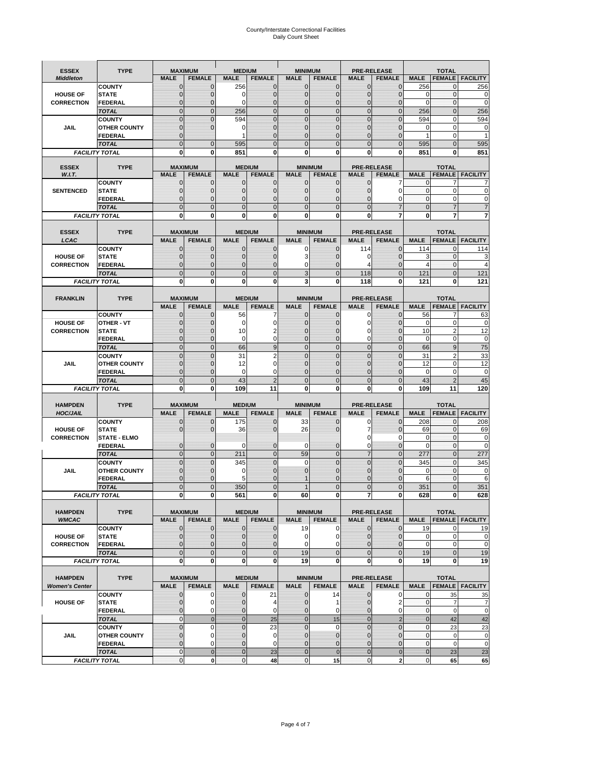# County/Interstate Correctional Facilities Daily Count Sheet

| <b>ESSEX</b>          | <b>TYPE</b>                           |                                | <b>MAXIMUM</b>                   | <b>MEDIUM</b>               |                               | <b>MINIMUM</b>               |                               |                             | <b>PRE-RELEASE</b>           |                               | <b>TOTAL</b>                  |                               |
|-----------------------|---------------------------------------|--------------------------------|----------------------------------|-----------------------------|-------------------------------|------------------------------|-------------------------------|-----------------------------|------------------------------|-------------------------------|-------------------------------|-------------------------------|
| <b>Middleton</b>      |                                       | <b>MALE</b>                    | <b>FEMALE</b>                    | <b>MALE</b>                 | <b>FEMALE</b>                 | <b>MALE</b>                  | <b>FEMALE</b>                 | MALE                        | <b>FEMALE</b>                | <b>MALE</b>                   | <b>FEMALE</b>                 | <b>FACILITY</b>               |
|                       | <b>COUNTY</b>                         | 0                              | 0                                | 256                         | 0                             | $\mathbf 0$                  | $\mathbf{0}$                  | 0                           | $\Omega$                     | 256                           | 0                             | 256                           |
| <b>HOUSE OF</b>       | <b>STATE</b>                          | 0                              | $\mathbf 0$                      | $\Omega$                    | 0                             | $\mathbf{0}$                 | $\Omega$                      | $\mathbf 0$                 | $\Omega$                     | $\Omega$                      | $\Omega$                      | 0                             |
| <b>CORRECTION</b>     | <b>FEDERAL</b>                        | 0                              | $\mathbf 0$                      | 0                           | 0                             | $\mathbf{0}$                 | $\mathbf 0$                   | $\mathbf{0}$                | $\mathbf 0$                  | $\mathbf 0$                   | $\mathbf{0}$                  | $\mathbf 0$                   |
|                       | <b>TOTAL</b>                          | $\overline{0}$<br>$\mathbf{0}$ | $\overline{0}$<br>$\overline{0}$ | 256                         | $\mathbf 0$<br>$\overline{0}$ | $\mathbf 0$<br>$\mathbf{0}$  | $\overline{0}$<br>$\Omega$    | $\mathbf 0$<br>$\mathbf 0$  | $\overline{0}$<br>$\Omega$   | 256                           | $\mathbf{0}$                  | 256                           |
| JAIL                  | <b>COUNTY</b><br><b>OTHER COUNTY</b>  | $\mathbf 0$                    | $\overline{0}$                   | 594<br>0                    | 0                             | $\mathbf{0}$                 | $\mathbf{0}$                  | $\mathbf 0$                 | ſ                            | 594<br>0                      | $\mathbf 0$<br>$\mathbf 0$    | 594<br>0                      |
|                       | <b>FEDERAL</b>                        | $\mathbf{0}$                   |                                  |                             | $\Omega$                      | $\mathbf{0}$                 | $\Omega$                      | $\mathbf{0}$                | 0                            | 1                             | $\mathbf 0$                   |                               |
|                       | <b>TOTAL</b>                          | $\overline{0}$                 | $\mathbf 0$                      | 595                         | $\Omega$                      | $\Omega$                     | $\Omega$                      | $\overline{0}$              | $\Omega$                     | 595                           | $\Omega$                      | 595                           |
|                       | <b>FACILITY TOTAL</b>                 | 0                              | 0                                | 851                         | O                             | $\bf{0}$                     | 0                             | 0                           | 0                            | 851                           | 0                             | 851                           |
|                       |                                       |                                |                                  |                             |                               |                              |                               |                             |                              |                               |                               |                               |
| <b>ESSEX</b>          | <b>TYPE</b>                           |                                | <b>MAXIMUM</b>                   |                             | <b>MEDIUM</b>                 |                              | <b>MINIMUM</b>                |                             | <b>PRE-RELEASE</b>           |                               | <b>TOTAL</b>                  |                               |
| W.I.T.                | <b>COUNTY</b>                         | <b>MALE</b><br>$\mathbf{0}$    | <b>FEMALE</b><br>0               | <b>MALE</b><br>$\mathbf 0$  | <b>FEMALE</b><br>0            | <b>MALE</b><br>$\mathbf 0$   | <b>FEMALE</b><br>$\mathbf{0}$ | <b>MALE</b><br>$\mathbf 0$  | <b>FEMALE</b><br>7           | <b>MALE</b><br>0              | 7                             | <b>FEMALE   FACILITY</b>      |
| <b>SENTENCED</b>      | <b>STATE</b>                          | 0                              | $\mathbf 0$                      | $\mathbf{0}$                | $\mathbf 0$                   | $\mathbf{0}$                 | $\mathbf{0}$                  | 0                           | $\Omega$                     | $\mathbf 0$                   | $\mathbf 0$                   | 0                             |
|                       | <b>FEDERAL</b>                        | $\overline{0}$                 | $\mathbf 0$                      | $\mathbf{0}$                | 0                             | $\mathbf{0}$                 | 0                             | $\mathbf 0$                 | 0                            | $\mathbf{0}$                  | $\mathbf 0$                   | C                             |
|                       | <b>TOTAL</b>                          | $\overline{0}$                 | $\overline{0}$                   | $\mathbf 0$                 | $\overline{0}$                | $\mathbf{0}$                 | $\overline{0}$                | $\overline{0}$              | $\overline{7}$               | $\mathbf{0}$                  | $\overline{7}$                |                               |
|                       | <b>FACILITY TOTAL</b>                 | 0                              | 0                                | $\bf{0}$                    | O                             | $\bf{0}$                     | $\mathbf{0}$                  | 0                           | 7                            | $\bf{0}$                      | 7                             |                               |
|                       |                                       |                                |                                  |                             |                               |                              |                               |                             |                              |                               |                               |                               |
| <b>ESSEX</b>          | <b>TYPE</b>                           |                                | <b>MAXIMUM</b>                   |                             | <b>MEDIUM</b>                 |                              | <b>MINIMUM</b>                |                             | <b>PRE-RELEASE</b>           |                               | <b>TOTAL</b>                  |                               |
| LCAC                  |                                       | <b>MALE</b>                    | <b>FEMALE</b>                    | <b>MALE</b>                 | <b>FEMALE</b>                 | <b>MALE</b>                  | <b>FEMALE</b>                 | <b>MALE</b>                 | <b>FEMALE</b>                | <b>MALE</b>                   |                               | <b>FEMALE   FACILITY</b>      |
|                       | <b>COUNTY</b>                         | 0                              | 0                                | $\mathbf{0}$                | 0                             | 0                            | $\mathbf{0}$                  | 114                         | $\Omega$                     | 114                           | $\Omega$                      | 114                           |
| <b>HOUSE OF</b>       | <b>STATE</b><br>FEDERAL               | 0<br>0                         | $\overline{0}$                   | $\mathbf 0$<br>$\mathbf{0}$ | 0                             | 3                            | $\Omega$<br>$\Omega$          | 0<br>4                      | $\Omega$<br>$\overline{0}$   | 3<br>$\overline{4}$           | $\mathbf 0$                   | 3<br>$\overline{4}$           |
| <b>CORRECTION</b>     | <b>TOTAL</b>                          | $\Omega$                       | 0<br>$\overline{0}$              | $\mathbf 0$                 | 0<br>$\overline{0}$           | 0<br>3                       | $\Omega$                      | 118                         | $\Omega$                     | 121                           | $\mathbf 0$<br>$\Omega$       | 121                           |
|                       | <b>FACILITY TOTAL</b>                 | 0                              | 0                                | 0                           | 0                             | 3                            | 0                             | 118                         | 0                            | 121                           | 0                             | 121                           |
|                       |                                       |                                |                                  |                             |                               |                              |                               |                             |                              |                               |                               |                               |
| <b>FRANKLIN</b>       | <b>TYPE</b>                           |                                | <b>MAXIMUM</b>                   |                             | <b>MEDIUM</b>                 |                              | <b>MINIMUM</b>                | <b>PRE-RELEASE</b>          |                              |                               | <b>TOTAL</b>                  |                               |
|                       |                                       | <b>MALE</b>                    | <b>FEMALE</b>                    | <b>MALE</b>                 | <b>FEMALE</b>                 | <b>MALE</b>                  | <b>FEMALE</b>                 | <b>MALE</b>                 | <b>FEMALE</b>                | <b>MALE</b>                   | <b>FEMALE</b>                 | <b>FACILITY</b>               |
|                       | <b>COUNTY</b>                         | $\mathbf{0}$                   | 0                                | 56                          | 7                             | $\mathbf{0}$                 | 0                             | 0                           | $\Omega$                     | 56                            | $\overline{7}$                | 63                            |
| <b>HOUSE OF</b>       | <b>OTHER - VT</b>                     | 0                              | $\overline{0}$                   | $\mathbf 0$                 | 0                             | $\mathbf{0}$                 | $\mathbf 0$                   | $\mathbf 0$                 | $\Omega$                     | $\mathbf 0$                   | $\mathbf 0$                   | 0                             |
| <b>CORRECTION</b>     | <b>STATE</b>                          | $\Omega$                       | $\mathbf 0$                      | 10                          | 2                             | $\Omega$                     | $\Omega$                      | 0                           | $\sqrt{ }$                   | 10                            | $\overline{2}$                | 12                            |
|                       | FEDERAL                               | $\mathbf{0}$                   | $\overline{0}$                   | $\mathbf 0$                 | 0                             | $\mathbf{0}$                 | $\mathbf{0}$                  | 0                           | $\overline{0}$               | $\mathbf 0$                   | $\mathbf 0$                   | $\pmb{0}$                     |
|                       | <b>TOTAL</b>                          | $\overline{0}$                 | $\mathbf{0}$                     | 66                          | 9                             | $\mathbf{0}$                 | $\mathbf{0}$                  | $\mathbf 0$                 | $\overline{0}$               | 66                            | 9                             | 75                            |
|                       | <b>COUNTY</b>                         | $\Omega$                       | $\overline{0}$<br>$\overline{0}$ | 31                          | 2<br>0                        | $\Omega$<br>$\mathbf 0$      | $\Omega$                      | $\mathbf 0$<br>$\mathbf 0$  | $\Omega$<br>$\sqrt{ }$       | 31<br>12                      | $\overline{2}$<br>$\mathbf 0$ | 33                            |
| JAIL                  | <b>OTHER COUNTY</b><br><b>FEDERAL</b> | 0<br>0                         | 0                                | 12<br>0                     | 0                             | $\mathbf{0}$                 | $\Omega$<br>$\Omega$          | $\mathbf{0}$                | $\Omega$                     | $\mathbf 0$                   | $\mathbf 0$                   | 12<br>$\mathbf 0$             |
|                       | <b>TOTAL</b>                          | $\mathbf{0}$                   | $\overline{0}$                   | 43                          | $\overline{2}$                | $\mathbf{0}$                 | $\Omega$                      | $\overline{0}$              | $\Omega$                     | 43                            | $\overline{2}$                | 45                            |
|                       | <b>FACILITY TOTAL</b>                 | 0                              | 0                                | 109                         | 11                            | $\bf{0}$                     | 0                             | 0                           | 0                            | 109                           | 11                            | 120                           |
|                       |                                       |                                |                                  |                             |                               |                              |                               |                             |                              |                               |                               |                               |
| <b>HAMPDEN</b>        | <b>TYPE</b>                           |                                | <b>MAXIMUM</b>                   | <b>MEDIUM</b>               |                               | <b>MINIMUM</b>               |                               |                             | <b>PRE-RELEASE</b>           |                               | <b>TOTAL</b>                  |                               |
| <b>HOC/JAIL</b>       |                                       | <b>MALE</b>                    | <b>FEMALE</b>                    | <b>MALE</b>                 | <b>FEMALE</b>                 | <b>MALE</b>                  | <b>FEMALE</b>                 | <b>MALE</b>                 | <b>FEMALE</b>                | <b>MALE</b>                   | <b>FEMALE</b>                 | <b>FACILITY</b>               |
|                       | <b>COUNTY</b>                         | 0                              | $\mathbf 0$                      | 175                         | 0                             | 33                           | 0                             | 0                           | $\mathbf 0$                  | 208                           | $\mathbf{0}$                  | 208                           |
| <b>HOUSE OF</b>       | <b>STATE</b>                          | 0                              | $\overline{0}$                   | 36                          | 0                             | 26                           | $\Omega$                      | $\overline{7}$<br>0         | $\sqrt{ }$<br>0              | 69<br>0                       | $\mathbf{0}$<br>$\mathbf{0}$  | 69<br>$\mathbf 0$             |
| <b>CORRECTION</b>     | <b>STATE - ELMO</b><br><b>FEDERAL</b> | $\mathbf{0}$                   | $\mathbf 0$                      | $\Omega$                    | 0                             | 0                            | $\mathbf{0}$                  | $\mathbf 0$                 | 0                            | $\Omega$                      | $\Omega$                      | 0                             |
|                       | <b>TOTAL</b>                          | $\overline{0}$                 | $\overline{0}$                   | 211                         | $\overline{0}$                | 59                           | $\mathbf{0}$                  | $\overline{7}$              | $\Omega$                     | 277                           | $\Omega$                      | 277                           |
|                       | <b>COUNTY</b>                         | $\overline{0}$                 | $\overline{0}$                   | 345                         | 0                             | $\mathbf 0$                  | $\overline{0}$                | $\overline{0}$              | $\overline{0}$               | 345                           | $\mathbf{0}$                  | 345                           |
| <b>JAIL</b>           | <b>OTHER COUNTY</b>                   | 0                              | $\mathbf 0$                      | 0                           | 0                             | $\mathbf{0}$                 | $\Omega$                      | $\mathbf 0$                 | $\sqrt{ }$                   | $\mathbf 0$                   | $\mathbf 0$                   | 0                             |
|                       | <b>FEDERAL</b>                        | $\Omega$                       | $\mathbf 0$                      | 5                           | $\Omega$                      |                              | $\Omega$                      | $\mathbf 0$                 | $\Omega$                     | 6                             | $\Omega$                      | 6                             |
|                       | <b>TOTAL</b>                          | $\overline{0}$                 | $\overline{0}$                   | 350                         | $\Omega$                      |                              | $\overline{0}$                | $\overline{0}$              | $\Omega$                     | 351                           | $\Omega$                      | 351                           |
|                       | <b>FACILITY TOTAL</b>                 | $\mathbf{0}$                   | $\boldsymbol{0}$                 | 561                         | o                             | 60                           | 0                             | 71                          | 0                            | 628                           | $\mathbf{0}$                  | 628                           |
|                       |                                       |                                |                                  |                             |                               |                              |                               |                             |                              |                               |                               |                               |
| <b>HAMPDEN</b>        | <b>TYPE</b>                           |                                | <b>MAXIMUM</b>                   |                             | <b>MEDIUM</b>                 |                              | <b>MINIMUM</b>                |                             | <b>PRE-RELEASE</b>           |                               | <b>TOTAL</b>                  |                               |
| <b>WMCAC</b>          | <b>COUNTY</b>                         | <b>MALE</b><br>$\mathbf 0$     | <b>FEMALE</b><br>$\mathbf{0}$    | <b>MALE</b><br>$\mathbf 0$  | <b>FEMALE</b>                 | <b>MALE</b><br>19            | <b>FEMALE</b><br>0            | <b>MALE</b><br>$\mathbf 0$  | <b>FEMALE</b><br>$\mathbf 0$ | <b>MALE</b>                   |                               | <b>FEMALE</b> FACILITY        |
| <b>HOUSE OF</b>       | <b>STATE</b>                          | $\mathbf{0}$                   | $\mathbf{0}$                     | $\overline{0}$              | 0<br>0                        | $\mathbf 0$                  | 0                             | $\mathbf{0}$                | $\overline{0}$               | 19<br>$\mathbf 0$             | 0<br>$\mathbf 0$              | 19<br>0                       |
| <b>CORRECTION</b>     | <b>FEDERAL</b>                        | $\mathbf{0}$                   | 0                                | $\overline{0}$              | 0                             | $\mathbf 0$                  | $\Omega$                      | 0                           | 0                            | $\mathbf 0$                   | $\mathbf 0$                   | $\pmb{0}$                     |
|                       | <b>TOTAL</b>                          | $\mathbf{0}$                   | $\overline{0}$                   | $\overline{0}$              | $\overline{0}$                | 19                           | $\overline{0}$                | $\mathbf 0$                 | $\mathbf 0$                  | 19                            | $\mathbf{0}$                  | 19                            |
|                       | <b>FACILITY TOTAL</b>                 | $\bf{0}$                       | $\bf{0}$                         | $\mathbf{0}$                | 0                             | 19                           | 0                             | 0                           | $\bf{0}$                     | 19                            | 0                             | 19                            |
|                       |                                       |                                |                                  |                             |                               |                              |                               |                             |                              |                               |                               |                               |
| <b>HAMPDEN</b>        | <b>TYPE</b>                           |                                | <b>MAXIMUM</b>                   |                             | <b>MEDIUM</b>                 |                              | <b>MINIMUM</b>                | <b>PRE-RELEASE</b>          |                              |                               | <b>TOTAL</b>                  |                               |
| <b>Women's Center</b> |                                       | <b>MALE</b>                    | <b>FEMALE</b>                    | <b>MALE</b>                 | <b>FEMALE</b>                 | <b>MALE</b>                  | <b>FEMALE</b>                 | <b>MALE</b>                 | <b>FEMALE</b>                | <b>MALE</b>                   |                               | <b>FEMALE</b> FACILITY        |
|                       | <b>COUNTY</b>                         | 0                              | 0                                | $\mathbf 0$                 | 21                            | 0                            | 14                            | 0                           | 0                            | 0                             | 35                            | 35                            |
| <b>HOUSE OF</b>       | <b>STATE</b>                          | $\mathbf 0$<br>0               | $\mathbf 0$<br>0                 | $\mathbf{0}$<br>0           | 4<br>0                        | $\mathbf{0}$<br>$\mathbf{0}$ | 1<br>0                        | $\mathbf 0$<br>$\mathbf{0}$ | 2<br>0                       | $\mathbf 0$<br>$\overline{0}$ | $\overline{7}$<br>$\mathbf 0$ | $\overline{7}$<br>$\mathbf 0$ |
|                       | <b>FEDERAL</b><br><b>TOTAL</b>        | $\mathbf{0}$                   | $\mathbf 0$                      | $\overline{0}$              | 25                            | $\mathbf{0}$                 | 15                            | $\mathbf{0}$                | $\overline{2}$               | $\mathbf{0}$                  | 42                            | 42                            |
|                       | <b>COUNTY</b>                         | $\overline{0}$                 | $\mathbf 0$                      | $\mathbf{0}$                | 23                            | $\mathbf{0}$                 | $\mathbf 0$                   | $\overline{0}$              | $\mathbf 0$                  | $\mathbf 0$                   | 23                            | 23                            |
| <b>JAIL</b>           | <b>OTHER COUNTY</b>                   | 0                              | $\mathbf 0$                      | $\mathbf{0}$                | 0                             | $\mathbf 0$                  | $\mathbf{0}$                  | $\mathbf{0}$                | $\overline{0}$               | $\mathbf 0$                   | $\mathbf 0$                   | $\pmb{0}$                     |
|                       | <b>FEDERAL</b>                        | $\mathbf 0$                    | $\mathbf 0$                      | $\mathbf{0}$                | 0                             | $\mathbf{0}$                 | $\mathbf{0}$                  | $\mathbf 0$                 | $\overline{0}$               | $\mathbf 0$                   | $\mathbf 0$                   | $\mathbf 0$                   |
|                       | <b>TOTAL</b>                          | $\mathbf 0$                    | $\mathbf 0$                      | $\overline{0}$              | 23                            | $\overline{0}$               | $\mathbf 0$                   | $\mathbf{0}$                | $\mathbf 0$                  | $\mathbf{0}$                  | 23                            | 23                            |
|                       | <b>FACILITY TOTAL</b>                 | $\pmb{0}$                      | $\mathbf 0$                      | $\mathbf{O}$                | 48                            | $\mathbf{0}$                 | 15                            | $\mathbf 0$                 | $\overline{\mathbf{2}}$      | $\overline{0}$                | 65                            | 65                            |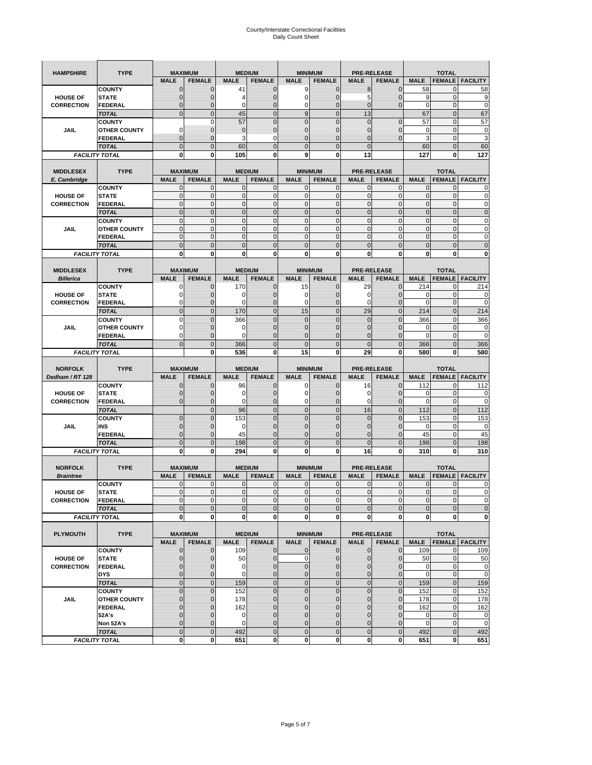| <b>HAMPSHIRE</b>  | <b>TYPE</b>                           |                            | <b>MAXIMUM</b>              |                            | <b>MEDIUM</b>    | <b>MINIMUM</b>               |                                  | <b>PRE-RELEASE</b>           |                        |                             | <b>TOTAL</b>             |                                                 |
|-------------------|---------------------------------------|----------------------------|-----------------------------|----------------------------|------------------|------------------------------|----------------------------------|------------------------------|------------------------|-----------------------------|--------------------------|-------------------------------------------------|
|                   |                                       | <b>MALE</b>                | <b>FEMALE</b>               | <b>MALE</b>                | <b>FEMALE</b>    | <b>MALE</b>                  | <b>FEMALE</b>                    | <b>MALE</b>                  | <b>FEMALE</b>          | <b>MALE</b>                 | <b>FEMALE</b>            | <b>FACILITY</b>                                 |
|                   | <b>COUNTY</b>                         | $\mathbf 0$                | $\mathbf 0$                 | 41                         | $\mathbf 0$      | 9                            | $\mathbf 0$                      | 8                            | $\mathbf 0$            | 58                          | $\mathbf{0}$             | 58                                              |
| <b>HOUSE OF</b>   | <b>STATE</b>                          | $\mathbf{0}$               | $\overline{0}$              | 4                          | $\mathbf 0$      | $\mathbf 0$                  | $\overline{0}$                   | 5                            | $\overline{0}$         | 9                           | $\mathbf 0$              | 9                                               |
| <b>CORRECTION</b> | <b>FEDERAL</b>                        | $\mathbf{0}$               | 0                           | 0                          | $\mathbf 0$      | 0                            | $\mathbf 0$                      | $\mathbf 0$                  | $\mathbf 0$            | $\mathbf 0$                 | $\bf{0}$                 | $\mathbf 0$                                     |
|                   | <b>TOTAL</b>                          | $\mathbf{0}$               | $\overline{0}$              | 45                         | $\mathbf{0}$     | 9                            | $\mathbf{0}$                     | 13                           |                        | 67                          | $\mathbf{0}$             | 67                                              |
|                   | <b>COUNTY</b>                         |                            | $\mathbf 0$                 | 57                         | $\overline{0}$   | $\overline{0}$               | $\overline{0}$                   | $\mathbf{0}$                 | $\overline{0}$         | 57                          | $\mathbf{0}$             | 57                                              |
| JAIL              | <b>OTHER COUNTY</b>                   | $\Omega$                   | 0                           | $\mathbf 0$                | $\mathbf 0$      | $\mathbf{0}$                 | $\overline{0}$                   | 0                            | $\mathbf 0$            | 0                           | $\mathbf 0$              | 0                                               |
|                   | FEDERAL                               | $\mathbf{0}$               | $\overline{0}$              | 3                          | 0                | $\overline{0}$               | $\mathbf{0}$                     | $\overline{0}$               | $\mathbf 0$            | 3                           | $\mathbf{0}$             | 3                                               |
|                   | <b>TOTAL</b>                          | $\mathbf{0}$               | $\mathbf 0$                 | 60                         | $\mathbf 0$      | $\mathbf 0$                  | $\mathbf{0}$                     | $\mathbf{0}$                 |                        | 60                          | $\mathbf 0$              | 60                                              |
|                   | <b>FACILITY TOTAL</b>                 | 0                          | 0                           | 105                        | 0                | 9                            | 0                                | 13                           |                        | 127                         | 0                        | 127                                             |
|                   |                                       |                            |                             |                            |                  |                              |                                  |                              |                        |                             |                          |                                                 |
| <b>MIDDLESEX</b>  | <b>TYPE</b>                           |                            | <b>MAXIMUM</b>              |                            | <b>MEDIUM</b>    | <b>MINIMUM</b>               |                                  | <b>PRE-RELEASE</b>           |                        |                             | <b>TOTAL</b>             |                                                 |
| E. Cambridge      |                                       | <b>MALE</b>                | <b>FEMALE</b>               | <b>MALE</b>                | <b>FEMALE</b>    | <b>MALE</b>                  | <b>FEMALE</b>                    | <b>MALE</b>                  | <b>FEMALE</b>          | <b>MALE</b>                 | <b>FEMALE</b>            | <b>FACILITY</b>                                 |
|                   | <b>COUNTY</b>                         | 0                          | 0                           | $\mathbf 0$                | 0                | 0                            | $\mathbf{0}$                     | 0                            | 0                      | 0                           | 0                        | 0                                               |
| <b>HOUSE OF</b>   | <b>STATE</b>                          | $\pmb{0}$                  | 0                           | $\mathbf{0}$               | $\mathbf 0$      | $\mathbf 0$                  | $\mathbf 0$                      | $\mathbf 0$                  | $\mathbf 0$            | $\pmb{0}$                   | $\bf{0}$                 | 0                                               |
| <b>CORRECTION</b> | <b>FEDERAL</b>                        | $\mathbf{0}$               | $\mathbf 0$                 | $\mathbf 0$                | $\mathbf 0$      | $\mathbf 0$                  | $\mathbf{0}$                     | $\mathbf 0$                  | $\mathbf 0$            | $\mathbf{0}$                | $\mathbf 0$              | $\mathbf 0$                                     |
|                   | <b>TOTAL</b>                          | $\Omega$                   | $\mathbf 0$                 | $\mathbf{0}$               | $\mathbf{0}$     | $\mathbf 0$                  | $\mathbf 0$                      | $\mathbf{0}$                 | $\overline{0}$         | $\pmb{0}$                   | $\mathbf{0}$             | $\mathbf 0$                                     |
|                   | <b>COUNTY</b>                         | $\mathbf{0}$               | $\mathbf{0}$                | $\mathbf{0}$               | $\mathbf{0}$     | $\mathbf{0}$                 | $\mathbf{0}$                     | $\mathbf{0}$                 | $\mathbf 0$            | $\mathbf{0}$                | $\mathbf{0}$             | 0                                               |
| JAIL              | <b>OTHER COUNTY</b>                   | 0<br>$\mathbf{0}$          | $\mathbf 0$<br>$\mathbf{0}$ | $\mathbf 0$<br>$\mathbf 0$ | 0<br>$\mathbf 0$ | $\mathbf{0}$<br>$\mathbf{0}$ | $\overline{0}$<br>$\overline{0}$ | $\mathbf{0}$<br>$\mathbf{0}$ | 0<br>$\mathbf 0$       | $\pmb{0}$<br>$\mathbf{0}$   | 0<br>$\mathbf{0}$        | 0<br>0                                          |
|                   | <b>FEDERAL</b>                        |                            |                             |                            |                  |                              |                                  |                              |                        |                             |                          |                                                 |
|                   | <b>TOTAL</b>                          | $\mathbf 0$                | $\overline{0}$              | $\overline{0}$             | $\overline{0}$   | $\overline{0}$               | $\overline{0}$                   | $\overline{0}$               | $\overline{0}$         | $\mathbf{0}$                | $\overline{0}$           | $\overline{0}$                                  |
|                   | <b>FACILITY TOTAL</b>                 | 0                          | 0                           | 0                          | 0                | 0                            | 0                                | 0                            | 0                      | 0                           | 0                        | 0                                               |
| <b>MIDDLESEX</b>  | <b>TYPE</b>                           |                            | <b>MAXIMUM</b>              |                            | <b>MEDIUM</b>    | <b>MINIMUM</b>               |                                  | <b>PRE-RELEASE</b>           |                        |                             | <b>TOTAL</b>             |                                                 |
| <b>Billerica</b>  |                                       | <b>MALE</b>                | <b>FEMALE</b>               | <b>MALE</b>                | <b>FEMALE</b>    | <b>MALE</b>                  | <b>FEMALE</b>                    | <b>MALE</b>                  | <b>FEMALE</b>          | <b>MALE</b>                 | <b>FEMALE</b>            | <b>FACILITY</b>                                 |
|                   | <b>COUNTY</b>                         | 0                          | $\mathbf 0$                 | 170                        | 0                | 15                           | $\mathbf{0}$                     | 29                           | $\mathbf 0$            | 214                         | 0                        | 214                                             |
| <b>HOUSE OF</b>   | <b>STATE</b>                          | 0                          | $\mathbf 0$                 | 0                          | $\mathbf 0$      | 0                            | 0                                | 0                            | $\mathbf 0$            | 0                           | $\mathbf 0$              | 0                                               |
| <b>CORRECTION</b> | <b>FEDERAL</b>                        | 0                          | $\mathbf{0}$                | 0                          | 0                | 0                            | $\mathbf{0}$                     | 0                            | $\mathbf 0$            | 0                           | 0                        | 0                                               |
|                   | <b>TOTAL</b>                          | $\mathbf{0}$               | $\mathbf 0$                 | 170                        | $\mathbf 0$      | 15                           | $\overline{0}$                   | 29                           | $\overline{0}$         | 214                         | $\mathbf{0}$             | 214                                             |
|                   | <b>COUNTY</b>                         | $\Omega$                   | $\overline{0}$              | 366                        | $\overline{0}$   | $\overline{0}$               | $\Omega$                         | $\overline{0}$               | $\Omega$               | 366                         | $\mathbf 0$              | 366                                             |
| JAIL              | <b>OTHER COUNTY</b>                   | 0                          | $\mathbf 0$                 | 0                          | $\mathbf{0}$     | $\mathbf{0}$                 | $\mathbf{0}$                     | $\mathbf{0}$                 | $\overline{0}$         | 0                           | 0                        | 0                                               |
|                   | <b>FEDERAL</b>                        | $\Omega$                   | $\mathbf 0$                 | $\Omega$                   | $\mathbf 0$      | $\overline{0}$               | $\overline{0}$                   | 0                            | $\mathbf 0$            | $\Omega$                    | $\mathbf 0$              | $\mathbf 0$                                     |
|                   | <b>TOTAL</b>                          | $\mathbf 0$                | $\overline{0}$              | 366                        | $\overline{0}$   | $\overline{0}$               | $\overline{0}$                   | $\overline{0}$               | $\overline{0}$         | 366                         | $\overline{0}$           | 366                                             |
|                   | <b>FACILITY TOTAL</b>                 |                            | 0                           | 536                        | 0                | 15                           | $\mathbf 0$                      | 29                           | 0                      | 580                         | 0                        | 580                                             |
|                   |                                       |                            |                             |                            |                  |                              |                                  |                              |                        |                             |                          |                                                 |
| <b>NORFOLK</b>    | <b>TYPE</b>                           |                            | <b>MAXIMUM</b>              |                            | <b>MEDIUM</b>    | <b>MINIMUM</b>               |                                  | <b>PRE-RELEASE</b>           |                        |                             | <b>TOTAL</b>             |                                                 |
|                   |                                       | <b>MALE</b>                | <b>FEMALE</b>               | <b>MALE</b>                | <b>FEMALE</b>    | <b>MALE</b>                  | <b>FEMALE</b>                    | <b>MALE</b>                  | <b>FEMALE</b>          | <b>MALE</b>                 | <b>FEMALE</b>            | <b>FACILITY</b>                                 |
| Dedham / RT 128   |                                       |                            |                             |                            |                  |                              |                                  |                              |                        |                             |                          |                                                 |
|                   | <b>COUNTY</b>                         | 0                          | $\mathbf 0$                 | 96                         | 0                | 0                            | $\mathbf{0}$                     | 16                           | 0                      | 112                         | 0                        | 112                                             |
| <b>HOUSE OF</b>   | <b>STATE</b>                          | $\mathbf 0$                | $\mathbf 0$                 | $\mathbf 0$                | $\mathbf{0}$     | 0                            | $\mathbf{0}$                     | 0                            | $\mathbf 0$            | 0                           | $\mathbf 0$              | 0                                               |
| <b>CORRECTION</b> | FEDERAL                               | $\mathbf{0}$               | 0                           | 0                          | 0                | 0                            | $\mathbf 0$                      | 0                            | 0                      | $\mathbf 0$                 | $\mathbf 0$              | 0                                               |
|                   | <b>TOTAL</b>                          |                            | $\mathbf 0$                 | 96                         | $\mathbf 0$      | $\mathbf 0$                  | $\overline{0}$                   | 16                           | $\mathbf 0$            | 112                         | $\mathbf 0$              | 112                                             |
|                   | <b>COUNTY</b>                         | $\mathbf{0}$               | $\overline{0}$              | 153                        | $\overline{0}$   | $\overline{0}$               | $\Omega$                         | $\mathbf 0$                  | $\overline{0}$         | 153                         | 0                        | 153                                             |
| JAIL              | INS                                   | $\mathbf{0}$               | 0                           | 0                          | $\mathbf{0}$     | $\mathbf 0$                  | $\mathbf{0}$                     | 0                            | $\mathbf 0$            | 0                           | 0                        | 0                                               |
|                   | <b>FEDERAL</b>                        | $\mathbf{0}$               | $\mathbf 0$                 | 45                         | $\mathbf 0$      | $\overline{0}$               | $\Omega$                         | $\mathbf 0$                  | $\mathbf 0$            | 45                          | $\mathbf 0$              | 45                                              |
|                   | <b>TOTAL</b>                          | $\mathbf 0$                | $\mathbf 0$                 | 198                        | $\overline{0}$   | $\overline{0}$               | $\overline{0}$                   | $\overline{0}$               | $\overline{0}$         | 198                         | $\mathbf{0}$             | 198                                             |
|                   | <b>FACILITY TOTAL</b>                 | 0                          | 0                           | 294                        | 0                | 0                            | 0                                | 16                           | 0                      | 310                         | 0                        | 310                                             |
|                   |                                       |                            |                             |                            |                  |                              |                                  |                              |                        |                             |                          |                                                 |
| <b>NORFOLK</b>    | <b>TYPE</b>                           |                            | <b>MAXIMUM</b>              |                            | <b>MEDIUM</b>    | <b>MINIMUM</b>               |                                  | <b>PRE-RELEASE</b>           |                        |                             | <b>TOTAL</b>             |                                                 |
| <b>Braintree</b>  |                                       | <b>MALE</b>                | <b>FEMALE</b>               | <b>MALE</b>                | <b>FEMALE</b>    | <b>MALE</b>                  | <b>FEMALE</b>                    | <b>MALE</b>                  | <b>FEMALE</b>          | <b>MALE</b>                 | <b>FEMALE</b>            | <b>FACILITY</b>                                 |
|                   | <b>COUNTY</b>                         | $\mathbf{0}$               | $\mathbf{0}$                | $\mathbf 0$                | 0                | 0                            | $\mathbf{0}$                     | 0                            | $\mathbf 0$            | $\mathbf 0$                 | 0                        | 0                                               |
| <b>HOUSE OF</b>   | <b>STATE</b>                          | $\Omega$                   | $\Omega$                    | $\Omega$                   | $\overline{0}$   | $\Omega$                     | $\Omega$                         | $\mathbf{0}$                 | $\Omega$               | $\Omega$                    | $\Omega$                 |                                                 |
| <b>CORRECTION</b> | FEDERAL                               | $\mathbf 0$                | 0                           | $\mathbf 0$                | $\bf{0}$         | $\mathbf 0$                  | $\overline{0}$                   | $\mathbf 0$                  | $\mathbf 0$            | $\overline{0}$              | $\mathbf 0$              |                                                 |
|                   | <b>TOTAL</b><br><b>FACILITY TOTAL</b> | $\mathbf 0$<br>$\mathbf 0$ | $\overline{0}$<br>0         | $\mathbf{0}$<br>0          | $\mathbf 0$<br>0 | $\mathbf 0$<br>$\mathbf 0$   | $\mathbf 0$<br><sub>0</sub>      | $\mathbf 0$<br>0             | $\mathbf 0$<br>0       | $\mathbf 0$<br>$\mathbf{0}$ | $\pmb{0}$<br>$\mathbf 0$ |                                                 |
|                   |                                       |                            |                             |                            |                  |                              |                                  |                              |                        |                             |                          | $\Omega$<br>$\mathbf 0$<br>$\mathbf 0$<br>0     |
| <b>PLYMOUTH</b>   | <b>TYPE</b>                           |                            | <b>MAXIMUM</b>              |                            | <b>MEDIUM</b>    |                              | <b>MINIMUM</b>                   |                              | <b>PRE-RELEASE</b>     |                             | <b>TOTAL</b>             |                                                 |
|                   |                                       | <b>MALE</b>                | <b>FEMALE</b>               | <b>MALE</b>                | <b>FEMALE</b>    | <b>MALE</b>                  | <b>FEMALE</b>                    | <b>MALE</b>                  | <b>FEMALE</b>          | <b>MALE</b>                 |                          | <b>FEMALE   FACILITY</b>                        |
|                   | <b>COUNTY</b>                         | $\mathbf{0}$               | 0                           | 109                        | $\mathbf{0}$     | 0                            | $\mathbf{0}$                     | $\mathbf 0$                  | $\mathbf{0}$           | 109                         | $\mathbf 0$              | 109                                             |
| <b>HOUSE OF</b>   | <b>STATE</b>                          | $\mathbf{0}$               | $\mathbf 0$                 | 50                         | $\mathbf 0$      | $\mathbf 0$                  | $\mathbf{0}$                     | $\mathbf{0}$                 | $\overline{0}$         | 50                          | $\mathbf 0$              |                                                 |
| <b>CORRECTION</b> | <b>FEDERAL</b>                        | $\mathbf 0$                | $\mathbf{0}$                | 0                          | $\pmb{0}$        | $\mathbf 0$                  | $\mathbf{0}$                     | 0                            | $\mathbf 0$            | 0                           | $\mathbf 0$              |                                                 |
|                   | <b>DYS</b>                            | $\mathbf{0}$               | $\mathbf{0}$                | 0                          | $\mathbf{0}$     | $\mathbf 0$                  | $\mathbf{0}$                     | $\mathbf 0$                  | $\overline{0}$         | $\mathbf 0$                 | $\mathbf{0}$             | 50<br>$\mathbf 0$<br>$\mathbf 0$                |
|                   | <b>TOTAL</b>                          | $\mathbf 0$                | $\mathbf 0$                 | 159                        | $\mathbf 0$      | $\mathbf 0$                  | $\mathbf 0$                      | $\mathbf 0$                  | $\pmb{0}$              | 159                         | $\mathbf{0}$             | 159                                             |
|                   | <b>COUNTY</b>                         | $\mathbf 0$                | $\mathbf 0$                 | 152                        | $\mathbf{0}$     | $\mathbf 0$                  | $\overline{0}$                   | $\mathbf 0$                  | $\mathbf 0$            | 152                         | $\mathbf 0$              | 152                                             |
| JAIL              | <b>OTHER COUNTY</b>                   | $\mathbf{0}$               | 0                           | 178                        | $\mathbf 0$      | $\mathbf 0$                  | $\mathbf{0}$                     | 0                            | $\mathbf{0}$           | 178                         | $\mathbf 0$              | 178                                             |
|                   | <b>FEDERAL</b>                        | $\mathbf{0}$               | $\mathbf{0}$                | 162                        | 0                | $\mathbf 0$                  | $\overline{0}$                   | $\mathbf 0$                  | $\overline{0}$         | 162                         | $\mathbf 0$              |                                                 |
|                   | 52A's                                 | $\mathbf{0}$               | $\mathbf{0}$                | 0                          | $\mathbf{0}$     | $\mathbf 0$                  | $\overline{0}$                   | 0                            | $\mathbf 0$            | $\mathbf 0$                 | $\mathbf{0}$             |                                                 |
|                   | Non 52A's                             | $\mathbf{0}$               | $\mathbf{0}$                | $\mathbf 0$                | $\mathbf{0}$     | $\mathbf 0$                  | $\mathbf{0}$                     | $\mathbf 0$                  | 0                      | $\mathbf 0$                 | $\mathbf 0$              |                                                 |
|                   | <b>TOTAL</b><br><b>FACILITY TOTAL</b> | $\mathbf 0$<br>0           | $\mathbf 0$<br>0            | 492<br>651                 | $\mathbf 0$<br>0 | $\mathbf 0$<br>$\mathbf 0$   | $\mathbf{0}$<br>$\mathbf{0}$     | $\mathbf 0$<br>0             | $\pmb{0}$<br>$\pmb{0}$ | 492<br>651                  | $\mathbf 0$<br>$\bf{0}$  | 162<br>$\mathbf 0$<br>$\mathbf 0$<br>492<br>651 |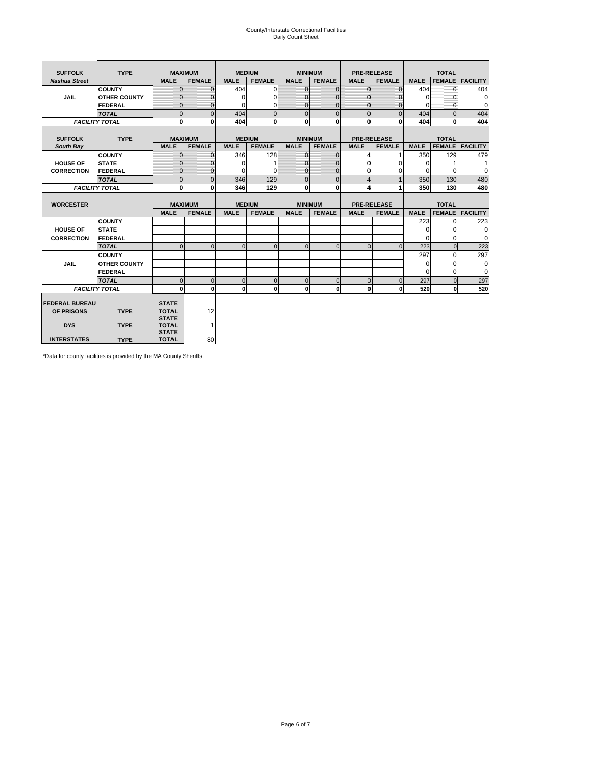# County/Interstate Correctional Facilities Daily Count Sheet

| <b>SUFFOLK</b>        | <b>TYPE</b>           |                              | <b>MAXIMUM</b> | <b>MEDIUM</b> |                |              | <b>MINIMUM</b> |                | <b>PRE-RELEASE</b> |             | <b>TOTAL</b>  |                 |
|-----------------------|-----------------------|------------------------------|----------------|---------------|----------------|--------------|----------------|----------------|--------------------|-------------|---------------|-----------------|
| <b>Nashua Street</b>  |                       | <b>MALE</b>                  | <b>FEMALE</b>  | <b>MALE</b>   | <b>FEMALE</b>  | <b>MALE</b>  | <b>FEMALE</b>  | <b>MALE</b>    | <b>FEMALE</b>      | <b>MALE</b> | <b>FEMALE</b> | <b>FACILITY</b> |
|                       | <b>COUNTY</b>         | $\Omega$                     | $\mathbf{0}$   | 404           | $\Omega$       | $\mathbf{0}$ | $\Omega$       | $\Omega$       | $\Omega$           | 404         | $\Omega$      | 404             |
| <b>JAIL</b>           | <b>OTHER COUNTY</b>   | $\Omega$                     | 0              | $\Omega$      | 0              | $\mathbf{0}$ | $\Omega$       | $\mathbf 0$    | $\Omega$           | $\Omega$    | $\Omega$      | $\mathbf 0$     |
|                       | <b>FEDERAL</b>        | $\Omega$                     | $\Omega$       | 0             | $\Omega$       | $\mathbf{0}$ | $\Omega$       | $\Omega$       | $\Omega$           | $\Omega$    | $\Omega$      | $\Omega$        |
|                       | <b>TOTAL</b>          | $\Omega$                     | $\mathbf 0$    | 404           | $\overline{0}$ | $\mathbf{0}$ | $\mathbf{0}$   | $\mathbf{0}$   | $\Omega$           | 404         | $\Omega$      | 404             |
|                       | <b>FACILITY TOTAL</b> | 0                            | 0              | 404           | $\bf{0}$       | $\mathbf{0}$ | 0              | $\mathbf{0}$   | 0                  | 404         | 0             | 404             |
|                       |                       |                              |                |               |                |              |                |                |                    |             |               |                 |
| <b>SUFFOLK</b>        | <b>TYPE</b>           | <b>MAXIMUM</b>               |                | <b>MEDIUM</b> |                |              | <b>MINIMUM</b> |                | <b>PRE-RELEASE</b> |             | <b>TOTAL</b>  |                 |
| South Bay             |                       | <b>MALE</b>                  | <b>FEMALE</b>  | <b>MALE</b>   | <b>FEMALE</b>  | <b>MALE</b>  | <b>FEMALE</b>  | <b>MALE</b>    | <b>FEMALE</b>      | <b>MALE</b> | <b>FEMALE</b> | <b>FACILITY</b> |
|                       | <b>COUNTY</b>         | $\Omega$                     | $\mathbf{0}$   | 346           | 128            | $\mathbf{0}$ | $\mathbf{0}$   | 4              |                    | 350         | 129           | 479             |
| <b>HOUSE OF</b>       | <b>STATE</b>          |                              | $\mathbf{0}$   | $\Omega$      |                | $\Omega$     | O              | $\Omega$       | $\Omega$           | $\Omega$    |               | 1               |
| <b>CORRECTION</b>     | <b>FEDERAL</b>        | $\Omega$                     | $\mathbf{0}$   | $\Omega$      | $\Omega$       | $\mathbf{0}$ | $\mathbf{0}$   | $\Omega$       | 0                  | $\Omega$    | $\Omega$      | $\Omega$        |
|                       | <b>TOTAL</b>          | $\Omega$                     | $\overline{0}$ | 346           | 129            | $\mathbf 0$  | $\mathbf{0}$   | $\overline{4}$ | $\mathbf{1}$       | 350         | 130           | 480             |
|                       | <b>FACILITY TOTAL</b> | 0                            | 0              | 346           | 129            | <sub>0</sub> | 0              | 4              | 1                  | 350         | 130           | 480             |
|                       |                       |                              |                |               |                |              |                |                |                    |             |               |                 |
| <b>WORCESTER</b>      |                       |                              | <b>MAXIMUM</b> | <b>MEDIUM</b> |                |              | <b>MINIMUM</b> |                | <b>PRE-RELEASE</b> |             | <b>TOTAL</b>  |                 |
|                       |                       | <b>MALE</b>                  | <b>FEMALE</b>  | <b>MALE</b>   | <b>FEMALE</b>  | <b>MALE</b>  | <b>FEMALE</b>  | <b>MALE</b>    | <b>FEMALE</b>      | <b>MALE</b> | <b>FEMALE</b> | <b>FACILITY</b> |
|                       | <b>COUNTY</b>         |                              |                |               |                |              |                |                |                    | 223         | $\Omega$      | 223             |
| <b>HOUSE OF</b>       | <b>STATE</b>          |                              |                |               |                |              |                |                |                    | 0           | 0             | 0               |
| <b>CORRECTION</b>     | <b>FEDERAL</b>        |                              |                |               |                |              |                |                |                    | $\Omega$    | $\Omega$      | $\Omega$        |
|                       | <b>TOTAL</b>          | U                            | $\Omega$       | $\Omega$      | $\mathbf 0$    | $\Omega$     | $\Omega$       | $\Omega$       | $\Omega$           | 223         | $\Omega$      | 223             |
|                       | <b>COUNTY</b>         |                              |                |               |                |              |                |                |                    | 297         | $\Omega$      | 297             |
| <b>JAIL</b>           | <b>OTHER COUNTY</b>   |                              |                |               |                |              |                |                |                    | 0           | 0             | 0               |
|                       | FEDERAL               |                              |                |               |                |              |                |                |                    | $\Omega$    | $\Omega$      | $\Omega$        |
|                       | <b>TOTAL</b>          | $\cap$                       | $\Omega$       | $\Omega$      | $\mathbf{0}$   | $\mathbf{0}$ | $\mathbf{0}$   | $\mathbf 0$    | $\Omega$           | 297         | $\Omega$      | 297             |
|                       | <b>FACILITY TOTAL</b> | $\Omega$                     | $\mathbf 0$    | $\Omega$      | 0              | 0            | $\mathbf{0}$   | $\mathbf 0$    | 0                  | 520         | O             | 520             |
|                       |                       |                              |                |               |                |              |                |                |                    |             |               |                 |
| <b>FEDERAL BUREAU</b> |                       | <b>STATE</b>                 |                |               |                |              |                |                |                    |             |               |                 |
| OF PRISONS            | <b>TYPE</b>           | <b>TOTAL</b>                 | 12             |               |                |              |                |                |                    |             |               |                 |
| <b>DYS</b>            | <b>TYPE</b>           | <b>STATE</b><br><b>TOTAL</b> | $\mathbf{1}$   |               |                |              |                |                |                    |             |               |                 |
|                       |                       | <b>STATE</b>                 |                |               |                |              |                |                |                    |             |               |                 |
| <b>INTERSTATES</b>    | <b>TYPE</b>           | <b>TOTAL</b>                 | 80             |               |                |              |                |                |                    |             |               |                 |

\*Data for county facilities is provided by the MA County Sheriffs.